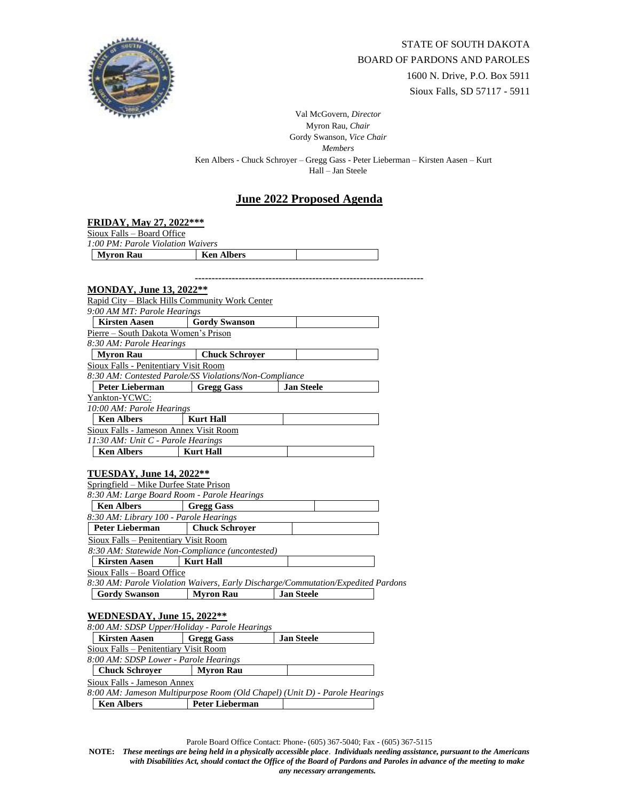

Val McGovern, *Director* Myron Rau, *Chair*  Gordy Swanson, *Vice Chair Members* Ken Albers - Chuck Schroyer – Gregg Gass - Peter Lieberman – Kirsten Aasen – Kurt Hall – Jan Steele

## **June 2022 Proposed Agenda**

| FRIDAY, May 27, 2022***                                                                                   |                       |                                                                                  |  |  |
|-----------------------------------------------------------------------------------------------------------|-----------------------|----------------------------------------------------------------------------------|--|--|
| Sioux Falls - Board Office                                                                                |                       |                                                                                  |  |  |
| 1:00 PM: Parole Violation Waivers                                                                         |                       |                                                                                  |  |  |
| <b>Myron Rau</b>                                                                                          | <b>Ken Albers</b>     |                                                                                  |  |  |
|                                                                                                           |                       |                                                                                  |  |  |
|                                                                                                           |                       |                                                                                  |  |  |
| <b>MONDAY, June 13, 2022**</b>                                                                            |                       |                                                                                  |  |  |
| Rapid City - Black Hills Community Work Center                                                            |                       |                                                                                  |  |  |
| 9:00 AM MT: Parole Hearings                                                                               |                       |                                                                                  |  |  |
| <b>Kirsten Aasen</b>                                                                                      | <b>Gordy Swanson</b>  |                                                                                  |  |  |
| Pierre - South Dakota Women's Prison                                                                      |                       |                                                                                  |  |  |
| 8:30 AM: Parole Hearings                                                                                  |                       |                                                                                  |  |  |
| <b>Myron Rau</b>                                                                                          | <b>Chuck Schroyer</b> |                                                                                  |  |  |
| <b>Sioux Falls - Penitentiary Visit Room</b>                                                              |                       |                                                                                  |  |  |
| 8:30 AM: Contested Parole/SS Violations/Non-Compliance                                                    |                       |                                                                                  |  |  |
| Peter Lieberman                                                                                           | <b>Gregg Gass</b>     | <b>Jan Steele</b>                                                                |  |  |
| Yankton-YCWC:                                                                                             |                       |                                                                                  |  |  |
| 10:00 AM: Parole Hearings                                                                                 |                       |                                                                                  |  |  |
| <b>Ken Albers</b>                                                                                         | <b>Kurt Hall</b>      |                                                                                  |  |  |
| Sioux Falls - Jameson Annex Visit Room                                                                    |                       |                                                                                  |  |  |
| 11:30 AM: Unit C - Parole Hearings                                                                        |                       |                                                                                  |  |  |
| <b>Ken Albers</b>                                                                                         | <b>Kurt Hall</b>      |                                                                                  |  |  |
|                                                                                                           |                       |                                                                                  |  |  |
| <b>TUESDAY, June 14, 2022**</b>                                                                           |                       |                                                                                  |  |  |
| Springfield - Mike Durfee State Prison                                                                    |                       |                                                                                  |  |  |
| 8:30 AM: Large Board Room - Parole Hearings                                                               |                       |                                                                                  |  |  |
| <b>Ken Albers</b>                                                                                         | <b>Gregg Gass</b>     |                                                                                  |  |  |
| 8:30 AM: Library 100 - Parole Hearings                                                                    |                       |                                                                                  |  |  |
| <b>Peter Lieberman</b>                                                                                    | <b>Chuck Schrover</b> |                                                                                  |  |  |
| Sioux Falls - Penitentiary Visit Room                                                                     |                       |                                                                                  |  |  |
| 8:30 AM: Statewide Non-Compliance (uncontested)                                                           |                       |                                                                                  |  |  |
| <b>Kirsten Aasen</b>                                                                                      | <b>Kurt Hall</b>      |                                                                                  |  |  |
| Sioux Falls - Board Office                                                                                |                       |                                                                                  |  |  |
|                                                                                                           |                       | 8:30 AM: Parole Violation Waivers, Early Discharge/Commutation/Expedited Pardons |  |  |
| <b>Gordy Swanson</b>                                                                                      | <b>Myron Rau</b>      | <b>Jan Steele</b>                                                                |  |  |
|                                                                                                           |                       |                                                                                  |  |  |
| WEDNESDAY, June 15, 2022**                                                                                |                       |                                                                                  |  |  |
| 8:00 AM: SDSP Upper/Holiday - Parole Hearings                                                             |                       |                                                                                  |  |  |
| <b>Kirsten Aasen</b><br><b>Gregg Gass</b><br><b>Jan Steele</b>                                            |                       |                                                                                  |  |  |
| <b>Sioux Falls - Penitentiary Visit Room</b>                                                              |                       |                                                                                  |  |  |
| 8:00 AM: SDSP Lower - Parole Hearings                                                                     |                       |                                                                                  |  |  |
| <b>Chuck Schroyer</b>                                                                                     | <b>Myron Rau</b>      |                                                                                  |  |  |
| Sioux Falls - Jameson Annex<br>8:00 AM: Jameson Multipurpose Room (Old Chapel) (Unit D) - Parole Hearings |                       |                                                                                  |  |  |
|                                                                                                           |                       |                                                                                  |  |  |
| <b>Ken Albers</b>                                                                                         | Peter Lieberman       |                                                                                  |  |  |

Parole Board Office Contact: Phone- (605) 367-5040; Fax - (605) 367-5115

**NOTE:** *These meetings are being held in a physically accessible place*. *Individuals needing assistance, pursuant to the Americans with Disabilities Act, should contact the Office of the Board of Pardons and Paroles in advance of the meeting to make any necessary arrangements.*